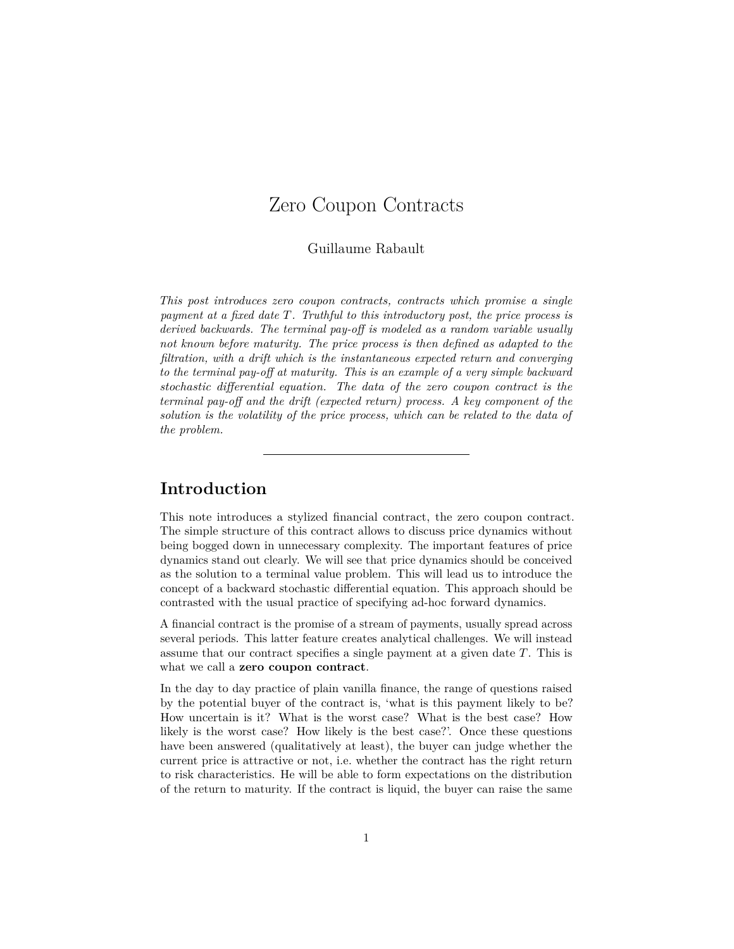# <span id="page-0-0"></span>Zero Coupon Contracts

#### Guillaume Rabault

*This post introduces zero coupon contracts, contracts which promise a single payment at a fixed date T. Truthful to [this introductory post,](/finance/2013/02/25/what-is-a-financial-asset.html) the price process is derived backwards. The terminal pay-off is modeled as a random variable usually not known before maturity. The price process is then defined as adapted to the filtration, with a drift which is the instantaneous expected return and converging to the terminal pay-off at maturity. This is an example of a very simple backward stochastic differential equation. The data of the zero coupon contract is the terminal pay-off and the drift (expected return) process. A key component of the solution is the volatility of the price process, which can be related to the data of the problem.*

# **Introduction**

This note introduces a stylized financial contract, the zero coupon contract. The simple structure of this contract allows to discuss price dynamics without being bogged down in unnecessary complexity. The important features of price dynamics stand out clearly. We will see that price dynamics should be conceived as the solution to a terminal value problem. This will lead us to introduce the concept of a backward stochastic differential equation. This approach should be contrasted with the usual practice of specifying ad-hoc forward dynamics.

A financial contract is the promise of a stream of payments, usually spread across several periods. This latter feature creates analytical challenges. We will instead assume that our contract specifies a single payment at a given date *T*. This is what we call a **zero coupon contract**.

In the day to day practice of plain vanilla finance, the range of questions raised by the potential buyer of the contract is, 'what is this payment likely to be? How uncertain is it? What is the worst case? What is the best case? How likely is the worst case? How likely is the best case?'. Once these questions have been answered (qualitatively at least), the buyer can judge whether the current price is attractive or not, i.e. whether the contract has the right return to risk characteristics. He will be able to form expectations on the distribution of the return to maturity. If the contract is liquid, the buyer can raise the same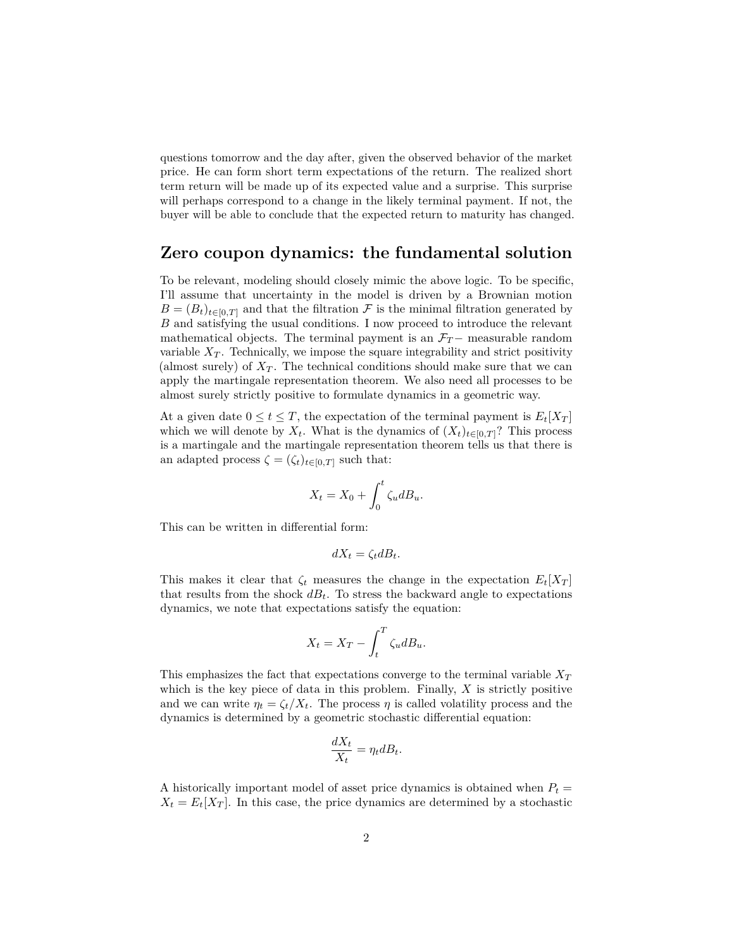questions tomorrow and the day after, given the observed behavior of the market price. He can form short term expectations of the return. The realized short term return will be made up of its expected value and a surprise. This surprise will perhaps correspond to a change in the likely terminal payment. If not, the buyer will be able to conclude that the expected return to maturity has changed.

## **Zero coupon dynamics: the fundamental solution**

To be relevant, modeling should closely mimic the above logic. To be specific, I'll assume that uncertainty in the model is driven by a Brownian motion  $B = (B_t)_{t \in [0,T]}$  and that the filtration  $\mathcal F$  is the minimal filtration generated by *B* and satisfying the usual conditions. I now proceed to introduce the relevant mathematical objects. The terminal payment is an  $\mathcal{F}_T$  – measurable random variable  $X_T$ . Technically, we impose the square integrability and strict positivity (almost surely) of  $X_T$ . The technical conditions should make sure that we can apply the [martingale representation theorem.](/math/2013/10/27/martingale-representation.html) We also need all processes to be almost surely strictly positive to formulate dynamics in a geometric way.

At a given date  $0 \le t \le T$ , the expectation of the terminal payment is  $E_t[X_T]$ which we will denote by  $X_t$ . What is the dynamics of  $(X_t)_{t\in[0,T]}$ ? This process is a martingale and the [martingale representation theorem](/math/2013/10/27/martingale-representation.html) tells us that there is an adapted process  $\zeta = (\zeta_t)_{t \in [0,T]}$  such that:

$$
X_t = X_0 + \int_0^t \zeta_u dB_u.
$$

This can be written in differential form:

$$
dX_t = \zeta_t dB_t.
$$

This makes it clear that  $\zeta_t$  measures the change in the expectation  $E_t[X_T]$ that results from the shock  $dB_t$ . To stress the backward angle to expectations dynamics, we note that expectations satisfy the equation:

$$
X_t = X_T - \int_t^T \zeta_u dB_u.
$$

This emphasizes the fact that expectations converge to the terminal variable *X<sup>T</sup>* which is the key piece of data in this problem. Finally, *X* is strictly positive and we can write  $\eta_t = \zeta_t / X_t$ . The process  $\eta$  is called volatility process and the dynamics is determined by a geometric stochastic differential equation:

$$
\frac{dX_t}{X_t} = \eta_t dB_t.
$$

A historically important model of asset price dynamics is obtained when  $P_t$  =  $X_t = E_t[X_T]$ . In this case, the price dynamics are determined by a stochastic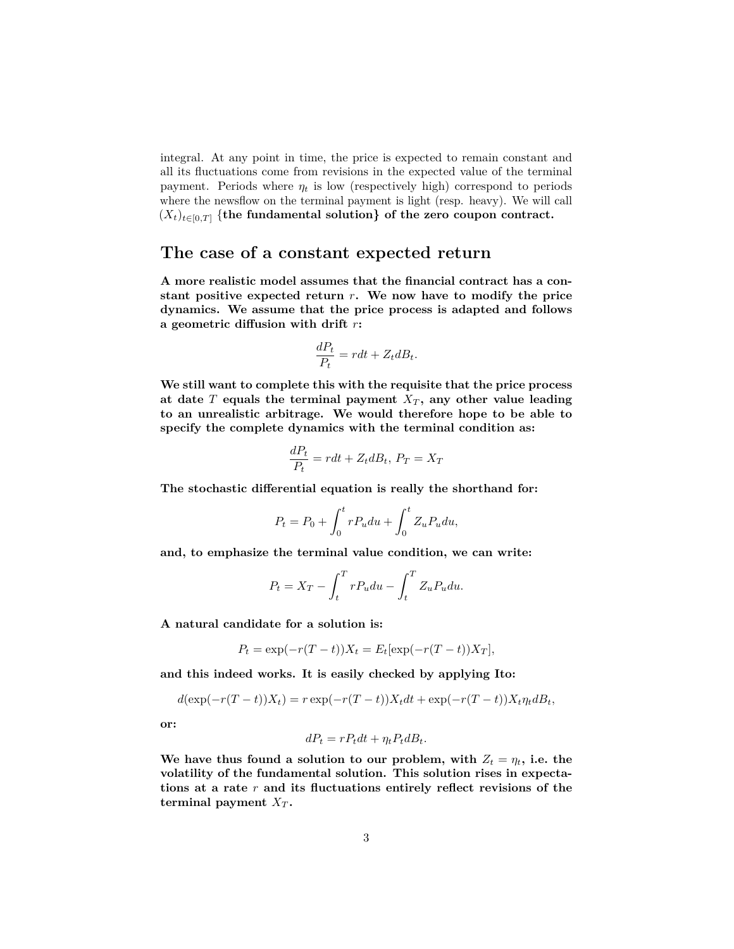integral. At any point in time, the price is expected to remain constant and all its fluctuations come from revisions in the expected value of the terminal payment. Periods where  $\eta_t$  is low (respectively high) correspond to periods where the newsflow on the terminal payment is light (resp. heavy). We will call  $(X_t)_{t\in[0,T]}$  {the fundamental solution} of the zero coupon contract.

## **The case of a constant expected return**

**A more realistic model assumes that the financial contract has a constant positive expected return** *r***. We now have to modify the price dynamics. We assume that the price process is adapted and follows a geometric diffusion with drift** *r***:**

$$
\frac{dP_t}{P_t} = rdt + Z_t dB_t.
$$

**We still want to complete this with the requisite that the price process at date** *T* **equals the terminal payment** *X<sup>T</sup>* **, any other value leading to an unrealistic arbitrage. We would therefore hope to be able to specify the complete dynamics with the terminal condition as:**

$$
\frac{dP_t}{P_t} = rdt + Z_t dB_t, P_T = X_T
$$

**The stochastic differential equation is really the shorthand for:**

$$
P_t = P_0 + \int_0^t r P_u du + \int_0^t Z_u P_u du,
$$

**and, to emphasize the terminal value condition, we can write:**

$$
P_t = X_T - \int_t^T r P_u du - \int_t^T Z_u P_u du.
$$

**A natural candidate for a solution is:**

$$
P_t = \exp(-r(T - t))X_t = E_t[\exp(-r(T - t))X_T],
$$

**and this indeed works. It is easily checked by applying Ito:**

$$
d(\exp(-r(T-t))X_t) = r \exp(-r(T-t))X_t dt + \exp(-r(T-t))X_t \eta_t dB_t,
$$

**or:**

$$
dP_t = rP_t dt + \eta_t P_t dB_t.
$$

We have thus found a solution to our problem, with  $Z_t = \eta_t$ , i.e. the **volatility of the fundamental solution. This solution rises in expectations at a rate** *r* **and its fluctuations entirely reflect revisions of the terminal payment**  $X_T$ .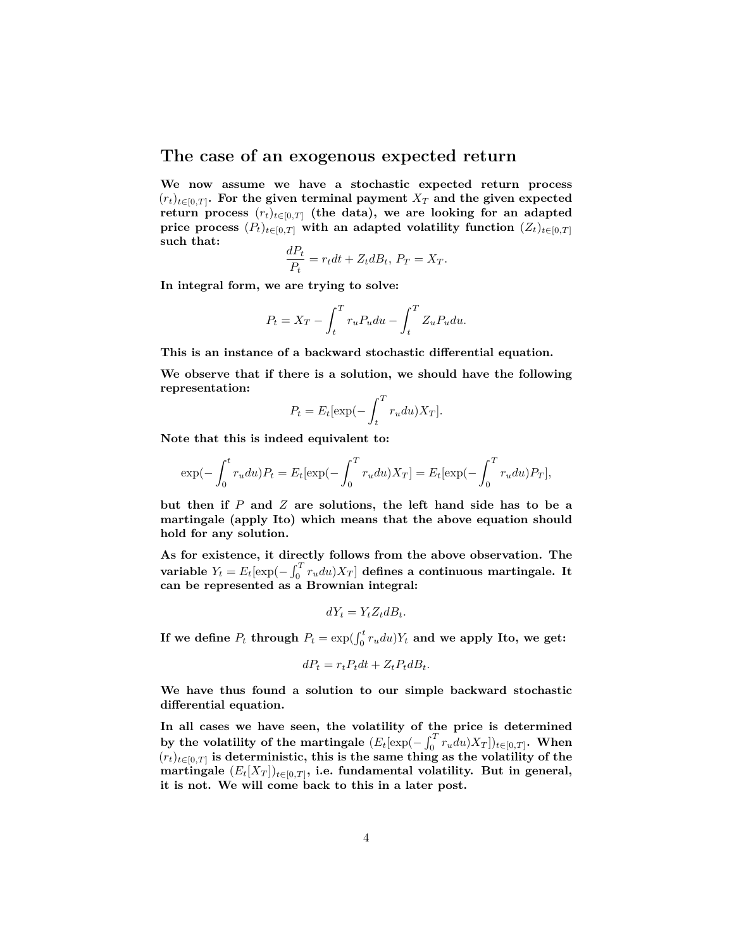### **The case of an exogenous expected return**

**We now assume we have a stochastic expected return process**  $(r_t)_{t \in [0,T]}$ . For the given terminal payment  $X_T$  and the given expected **return process**  $(r_t)_{t \in [0,T]}$  (the data), we are looking for an adapted **price process**  $(P_t)_{t \in [0,T]}$  with an adapted volatility function  $(Z_t)_{t \in [0,T]}$ **such that:**  $\overline{a}$ 

$$
\frac{dP_t}{P_t} = r_t dt + Z_t dB_t, P_T = X_T.
$$

**In integral form, we are trying to solve:**

$$
P_t = X_T - \int_t^T r_u P_u du - \int_t^T Z_u P_u du.
$$

**This is an instance of a backward stochastic differential equation.**

**We observe that if there is a solution, we should have the following representation:**

$$
P_t = E_t[\exp(-\int_t^T r_u du) X_T].
$$

**Note that this is indeed equivalent to:**

$$
\exp(-\int_0^t r_u du) P_t = E_t[\exp(-\int_0^T r_u du) X_T] = E_t[\exp(-\int_0^T r_u du) P_T],
$$

**but then if** *P* **and** *Z* **are solutions, the left hand side has to be a martingale (apply Ito) which means that the above equation should hold for any solution.**

**As for existence, it directly follows from the above observation. The variable**  $Y_t = E_t[\exp(-\int_0^T r_u du)X_T]$  defines a continuous martingale. It **can be represented as a Brownian integral:**

$$
dY_t = Y_t Z_t dB_t.
$$

If we define  $P_t$  through  $P_t = \exp(\int_0^t r_u du) Y_t$  and we apply Ito, we get:

$$
dP_t = r_t P_t dt + Z_t P_t dB_t.
$$

**We have thus found a solution to our simple backward stochastic differential equation.**

**In all cases we have seen, the volatility of the price is determined** by the volatility of the martingale  $(E_t[\exp(-\int_0^Tr_udu)X_T])_{t\in[0,T]}$ . When  $(r_t)_{t \in [0,T]}$  is deterministic, this is the same thing as the volatility of the  $\text{martingale} \,\, (E_t[X_T])_{t \in [0,T]}, \text{ i.e. fundamental volatility.} \,\, \text{But in general,}$ **it is not. We will come back to this in a later post.**